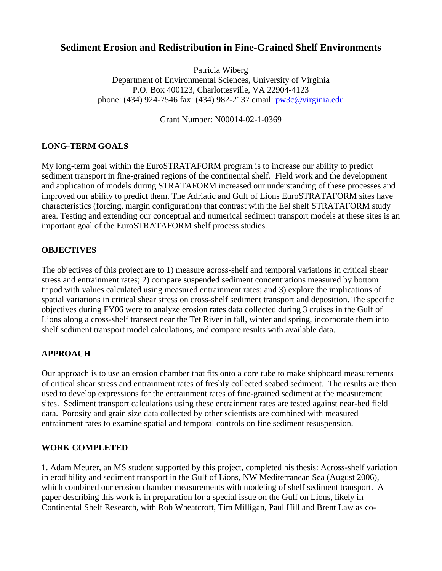# **Sediment Erosion and Redistribution in Fine-Grained Shelf Environments**

Patricia Wiberg Department of Environmental Sciences, University of Virginia P.O. Box 400123, Charlottesville, VA 22904-4123 phone: (434) 924-7546 fax: (434) 982-2137 email: [pw3c@virginia.edu](mailto:pw3c@virginia.edu) 

Grant Number: N00014-02-1-0369

## **LONG-TERM GOALS**

My long-term goal within the EuroSTRATAFORM program is to increase our ability to predict sediment transport in fine-grained regions of the continental shelf. Field work and the development and application of models during STRATAFORM increased our understanding of these processes and improved our ability to predict them. The Adriatic and Gulf of Lions EuroSTRATAFORM sites have characteristics (forcing, margin configuration) that contrast with the Eel shelf STRATAFORM study area. Testing and extending our conceptual and numerical sediment transport models at these sites is an important goal of the EuroSTRATAFORM shelf process studies.

### **OBJECTIVES**

The objectives of this project are to 1) measure across-shelf and temporal variations in critical shear stress and entrainment rates; 2) compare suspended sediment concentrations measured by bottom tripod with values calculated using measured entrainment rates; and 3) explore the implications of spatial variations in critical shear stress on cross-shelf sediment transport and deposition. The specific objectives during FY06 were to analyze erosion rates data collected during 3 cruises in the Gulf of Lions along a cross-shelf transect near the Tet River in fall, winter and spring, incorporate them into shelf sediment transport model calculations, and compare results with available data.

### **APPROACH**

Our approach is to use an erosion chamber that fits onto a core tube to make shipboard measurements of critical shear stress and entrainment rates of freshly collected seabed sediment. The results are then used to develop expressions for the entrainment rates of fine-grained sediment at the measurement sites. Sediment transport calculations using these entrainment rates are tested against near-bed field data. Porosity and grain size data collected by other scientists are combined with measured entrainment rates to examine spatial and temporal controls on fine sediment resuspension.

### **WORK COMPLETED**

1. Adam Meurer, an MS student supported by this project, completed his thesis: Across-shelf variation in erodibility and sediment transport in the Gulf of Lions, NW Mediterranean Sea (August 2006), which combined our erosion chamber measurements with modeling of shelf sediment transport. A paper describing this work is in preparation for a special issue on the Gulf on Lions, likely in Continental Shelf Research, with Rob Wheatcroft, Tim Milligan, Paul Hill and Brent Law as co-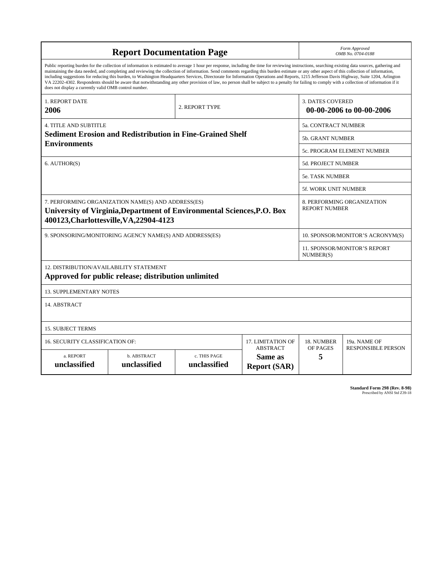| <b>Report Documentation Page</b>                                                                                                                                                                                                                                                                                                                                                                                                                                                                                                                                                                                                                                                                                                                                                                                                                                   |                             |                              |                                                   |                                                     | Form Approved<br>OMB No. 0704-0188                 |  |
|--------------------------------------------------------------------------------------------------------------------------------------------------------------------------------------------------------------------------------------------------------------------------------------------------------------------------------------------------------------------------------------------------------------------------------------------------------------------------------------------------------------------------------------------------------------------------------------------------------------------------------------------------------------------------------------------------------------------------------------------------------------------------------------------------------------------------------------------------------------------|-----------------------------|------------------------------|---------------------------------------------------|-----------------------------------------------------|----------------------------------------------------|--|
| Public reporting burden for the collection of information is estimated to average 1 hour per response, including the time for reviewing instructions, searching existing data sources, gathering and<br>maintaining the data needed, and completing and reviewing the collection of information. Send comments regarding this burden estimate or any other aspect of this collection of information,<br>including suggestions for reducing this burden, to Washington Headquarters Services, Directorate for Information Operations and Reports, 1215 Jefferson Davis Highway, Suite 1204, Arlington<br>VA 22202-4302. Respondents should be aware that notwithstanding any other provision of law, no person shall be subject to a penalty for failing to comply with a collection of information if it<br>does not display a currently valid OMB control number. |                             |                              |                                                   |                                                     |                                                    |  |
| <b>1. REPORT DATE</b><br>2006                                                                                                                                                                                                                                                                                                                                                                                                                                                                                                                                                                                                                                                                                                                                                                                                                                      | 2. REPORT TYPE              |                              |                                                   | <b>3. DATES COVERED</b><br>00-00-2006 to 00-00-2006 |                                                    |  |
| <b>4. TITLE AND SUBTITLE</b>                                                                                                                                                                                                                                                                                                                                                                                                                                                                                                                                                                                                                                                                                                                                                                                                                                       |                             |                              |                                                   |                                                     | 5a. CONTRACT NUMBER                                |  |
| <b>Sediment Erosion and Redistribution in Fine-Grained Shelf</b>                                                                                                                                                                                                                                                                                                                                                                                                                                                                                                                                                                                                                                                                                                                                                                                                   |                             |                              |                                                   |                                                     | <b>5b. GRANT NUMBER</b>                            |  |
| <b>Environments</b>                                                                                                                                                                                                                                                                                                                                                                                                                                                                                                                                                                                                                                                                                                                                                                                                                                                |                             |                              |                                                   | 5c. PROGRAM ELEMENT NUMBER                          |                                                    |  |
| 6. AUTHOR(S)                                                                                                                                                                                                                                                                                                                                                                                                                                                                                                                                                                                                                                                                                                                                                                                                                                                       |                             |                              |                                                   | 5d. PROJECT NUMBER                                  |                                                    |  |
|                                                                                                                                                                                                                                                                                                                                                                                                                                                                                                                                                                                                                                                                                                                                                                                                                                                                    |                             |                              |                                                   | <b>5e. TASK NUMBER</b>                              |                                                    |  |
|                                                                                                                                                                                                                                                                                                                                                                                                                                                                                                                                                                                                                                                                                                                                                                                                                                                                    |                             |                              |                                                   |                                                     | <b>5f. WORK UNIT NUMBER</b>                        |  |
| 7. PERFORMING ORGANIZATION NAME(S) AND ADDRESS(ES)<br>University of Virginia, Department of Environmental Sciences, P.O. Box<br>400123, Charlottesville, VA, 22904-4123                                                                                                                                                                                                                                                                                                                                                                                                                                                                                                                                                                                                                                                                                            |                             |                              |                                                   |                                                     | 8. PERFORMING ORGANIZATION<br><b>REPORT NUMBER</b> |  |
| 9. SPONSORING/MONITORING AGENCY NAME(S) AND ADDRESS(ES)                                                                                                                                                                                                                                                                                                                                                                                                                                                                                                                                                                                                                                                                                                                                                                                                            |                             |                              |                                                   |                                                     | 10. SPONSOR/MONITOR'S ACRONYM(S)                   |  |
|                                                                                                                                                                                                                                                                                                                                                                                                                                                                                                                                                                                                                                                                                                                                                                                                                                                                    |                             |                              |                                                   |                                                     | 11. SPONSOR/MONITOR'S REPORT<br>NUMBER(S)          |  |
| 12. DISTRIBUTION/AVAILABILITY STATEMENT<br>Approved for public release; distribution unlimited                                                                                                                                                                                                                                                                                                                                                                                                                                                                                                                                                                                                                                                                                                                                                                     |                             |                              |                                                   |                                                     |                                                    |  |
| <b>13. SUPPLEMENTARY NOTES</b>                                                                                                                                                                                                                                                                                                                                                                                                                                                                                                                                                                                                                                                                                                                                                                                                                                     |                             |                              |                                                   |                                                     |                                                    |  |
| 14. ABSTRACT                                                                                                                                                                                                                                                                                                                                                                                                                                                                                                                                                                                                                                                                                                                                                                                                                                                       |                             |                              |                                                   |                                                     |                                                    |  |
| <b>15. SUBJECT TERMS</b>                                                                                                                                                                                                                                                                                                                                                                                                                                                                                                                                                                                                                                                                                                                                                                                                                                           |                             |                              |                                                   |                                                     |                                                    |  |
| 16. SECURITY CLASSIFICATION OF:                                                                                                                                                                                                                                                                                                                                                                                                                                                                                                                                                                                                                                                                                                                                                                                                                                    | 17. LIMITATION OF           | 18. NUMBER                   | 19a. NAME OF                                      |                                                     |                                                    |  |
| a. REPORT<br>unclassified                                                                                                                                                                                                                                                                                                                                                                                                                                                                                                                                                                                                                                                                                                                                                                                                                                          | b. ABSTRACT<br>unclassified | c. THIS PAGE<br>unclassified | <b>ABSTRACT</b><br>Same as<br><b>Report (SAR)</b> | OF PAGES<br>5                                       | <b>RESPONSIBLE PERSON</b>                          |  |

| Standard Form 298 (Rev. 8-98) |                               |
|-------------------------------|-------------------------------|
|                               | Prescribed by ANSI Std Z39-18 |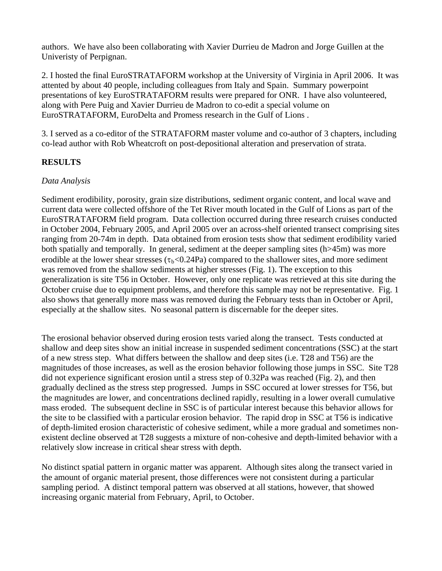authors. We have also been collaborating with Xavier Durrieu de Madron and Jorge Guillen at the Univeristy of Perpignan.

2. I hosted the final EuroSTRATAFORM workshop at the University of Virginia in April 2006. It was attented by about 40 people, including colleagues from Italy and Spain. Summary powerpoint presentations of key EuroSTRATAFORM results were prepared for ONR. I have also volunteered, along with Pere Puig and Xavier Durrieu de Madron to co-edit a special volume on EuroSTRATAFORM, EuroDelta and Promess research in the Gulf of Lions .

3. I served as a co-editor of the STRATAFORM master volume and co-author of 3 chapters, including co-lead author with Rob Wheatcroft on post-depositional alteration and preservation of strata.

## **RESULTS**

### *Data Analysis*

Sediment erodibility, porosity, grain size distributions, sediment organic content, and local wave and current data were collected offshore of the Tet River mouth located in the Gulf of Lions as part of the EuroSTRATAFORM field program. Data collection occurred during three research cruises conducted in October 2004, February 2005, and April 2005 over an across-shelf oriented transect comprising sites ranging from 20-74m in depth. Data obtained from erosion tests show that sediment erodibility varied both spatially and temporally. In general, sediment at the deeper sampling sites (h>45m) was more erodible at the lower shear stresses ( $\tau_b$ <0.24Pa) compared to the shallower sites, and more sediment was removed from the shallow sediments at higher stresses (Fig. 1). The exception to this generalization is site T56 in October. However, only one replicate was retrieved at this site during the October cruise due to equipment problems, and therefore this sample may not be representative. Fig. 1 also shows that generally more mass was removed during the February tests than in October or April, especially at the shallow sites. No seasonal pattern is discernable for the deeper sites.

The erosional behavior observed during erosion tests varied along the transect. Tests conducted at shallow and deep sites show an initial increase in suspended sediment concentrations (SSC) at the start of a new stress step. What differs between the shallow and deep sites (i.e. T28 and T56) are the magnitudes of those increases, as well as the erosion behavior following those jumps in SSC. Site T28 did not experience significant erosion until a stress step of 0.32Pa was reached (Fig. 2), and then gradually declined as the stress step progressed. Jumps in SSC occured at lower stresses for T56, but the magnitudes are lower, and concentrations declined rapidly, resulting in a lower overall cumulative mass eroded. The subsequent decline in SSC is of particular interest because this behavior allows for the site to be classified with a particular erosion behavior. The rapid drop in SSC at T56 is indicative of depth-limited erosion characteristic of cohesive sediment, while a more gradual and sometimes nonexistent decline observed at T28 suggests a mixture of non-cohesive and depth-limited behavior with a relatively slow increase in critical shear stress with depth.

No distinct spatial pattern in organic matter was apparent. Although sites along the transect varied in the amount of organic material present, those differences were not consistent during a particular sampling period. A distinct temporal pattern was observed at all stations, however, that showed increasing organic material from February, April, to October.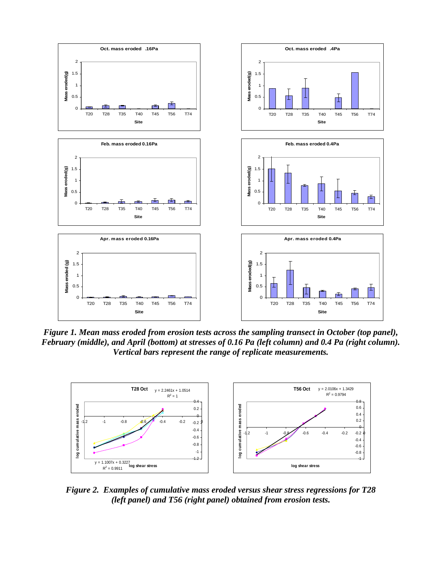

*Figure 1. Mean mass eroded from erosion tests across the sampling transect in October (top panel), February (middle), and April (bottom) at stresses of 0.16 Pa (left column) and 0.4 Pa (right column). Vertical bars represent the range of replicate measurements.* 



*Figure 2. Examples of cumulative mass eroded versus shear stress regressions for T28 (left panel) and T56 (right panel) obtained from erosion tests.*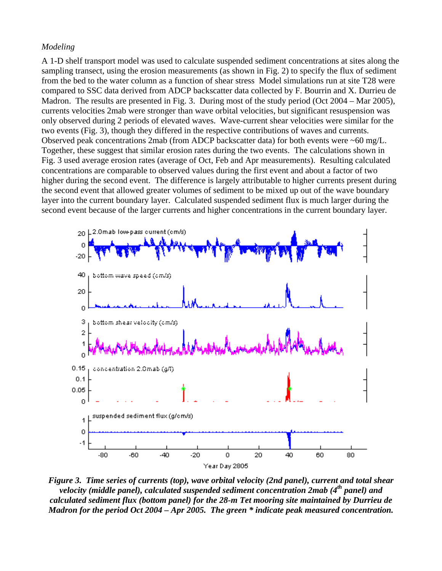#### *Modeling*

A 1-D shelf transport model was used to calculate suspended sediment concentrations at sites along the sampling transect, using the erosion measurements (as shown in Fig. 2) to specify the flux of sediment from the bed to the water column as a function of shear stress Model simulations run at site T28 were compared to SSC data derived from ADCP backscatter data collected by F. Bourrin and X. Durrieu de Madron. The results are presented in Fig. 3. During most of the study period (Oct 2004 – Mar 2005), currents velocities 2mab were stronger than wave orbital velocities, but significant resuspension was only observed during 2 periods of elevated waves. Wave-current shear velocities were similar for the two events (Fig. 3), though they differed in the respective contributions of waves and currents. Observed peak concentrations 2mab (from ADCP backscatter data) for both events were ~60 mg/L. Together, these suggest that similar erosion rates during the two events. The calculations shown in Fig. 3 used average erosion rates (average of Oct, Feb and Apr measurements). Resulting calculated concentrations are comparable to observed values during the first event and about a factor of two higher during the second event. The difference is largely attributable to higher currents present during the second event that allowed greater volumes of sediment to be mixed up out of the wave boundary layer into the current boundary layer. Calculated suspended sediment flux is much larger during the second event because of the larger currents and higher concentrations in the current boundary layer.



*Figure 3. Time series of currents (top), wave orbital velocity (2nd panel), current and total shear velocity (middle panel), calculated suspended sediment concentration 2mab (4th panel) and calculated sediment flux (bottom panel) for the 28-m Tet mooring site maintained by Durrieu de Madron for the period Oct 2004 – Apr 2005. The green \* indicate peak measured concentration.*